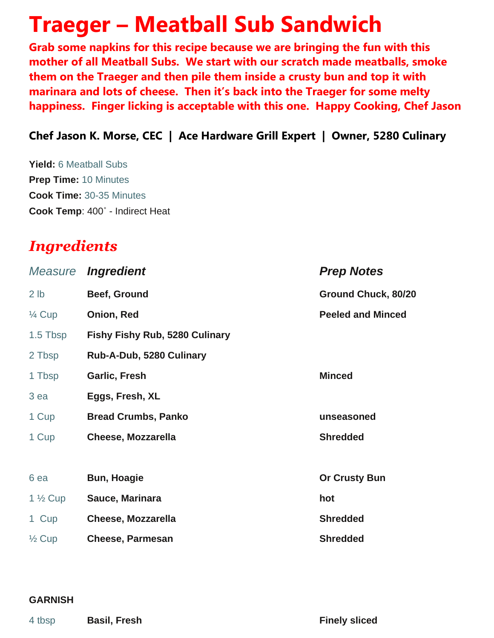# **Traeger – Meatball Sub Sandwich**

**Grab some napkins for this recipe because we are bringing the fun with this mother of all Meatball Subs. We start with our scratch made meatballs, smoke them on the Traeger and then pile them inside a crusty bun and top it with marinara and lots of cheese. Then it's back into the Traeger for some melty happiness. Finger licking is acceptable with this one. Happy Cooking, Chef Jason**

### **Chef Jason K. Morse, CEC | Ace Hardware Grill Expert | Owner, 5280 Culinary**

**Yield:** 6 Meatball Subs **Prep Time:** 10 Minutes **Cook Time:** 30-35 Minutes **Cook Temp**: 400˚ - Indirect Heat

## *Ingredients*

| Measure            | <i><b>Ingredient</b></i>              | <b>Prep Notes</b>        |
|--------------------|---------------------------------------|--------------------------|
| 2 <sub>lb</sub>    | Beef, Ground                          | Ground Chuck, 80/20      |
| $\frac{1}{4}$ Cup  | Onion, Red                            | <b>Peeled and Minced</b> |
| 1.5 Tbsp           | <b>Fishy Fishy Rub, 5280 Culinary</b> |                          |
| 2 Tbsp             | Rub-A-Dub, 5280 Culinary              |                          |
| 1 Tbsp             | Garlic, Fresh                         | <b>Minced</b>            |
| 3 ea               | Eggs, Fresh, XL                       |                          |
| 1 Cup              | <b>Bread Crumbs, Panko</b>            | unseasoned               |
| 1 Cup              | <b>Cheese, Mozzarella</b>             | <b>Shredded</b>          |
|                    |                                       |                          |
| 6 ea               | <b>Bun, Hoagie</b>                    | <b>Or Crusty Bun</b>     |
| $1\frac{1}{2}$ Cup | Sauce, Marinara                       | hot                      |
| 1 Cup              | <b>Cheese, Mozzarella</b>             | <b>Shredded</b>          |
| $\frac{1}{2}$ Cup  | <b>Cheese, Parmesan</b>               | <b>Shredded</b>          |

#### **GARNISH**

4 tbsp **Basil, Fresh Finely sliced**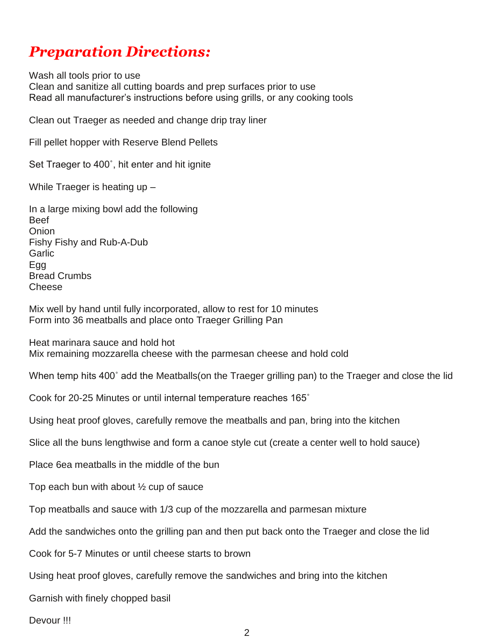## *Preparation Directions:*

Wash all tools prior to use Clean and sanitize all cutting boards and prep surfaces prior to use Read all manufacturer's instructions before using grills, or any cooking tools

Clean out Traeger as needed and change drip tray liner

Fill pellet hopper with Reserve Blend Pellets

Set Traeger to 400˚, hit enter and hit ignite

While Traeger is heating up –

In a large mixing bowl add the following Beef **Onion** Fishy Fishy and Rub-A-Dub **Garlic** Egg Bread Crumbs Cheese

Mix well by hand until fully incorporated, allow to rest for 10 minutes Form into 36 meatballs and place onto Traeger Grilling Pan

Heat marinara sauce and hold hot Mix remaining mozzarella cheese with the parmesan cheese and hold cold

When temp hits 400˚ add the Meatballs(on the Traeger grilling pan) to the Traeger and close the lid

Cook for 20-25 Minutes or until internal temperature reaches 165˚

Using heat proof gloves, carefully remove the meatballs and pan, bring into the kitchen

Slice all the buns lengthwise and form a canoe style cut (create a center well to hold sauce)

Place 6ea meatballs in the middle of the bun

Top each bun with about  $\frac{1}{2}$  cup of sauce

Top meatballs and sauce with 1/3 cup of the mozzarella and parmesan mixture

Add the sandwiches onto the grilling pan and then put back onto the Traeger and close the lid

Cook for 5-7 Minutes or until cheese starts to brown

Using heat proof gloves, carefully remove the sandwiches and bring into the kitchen

Garnish with finely chopped basil

Devour !!!